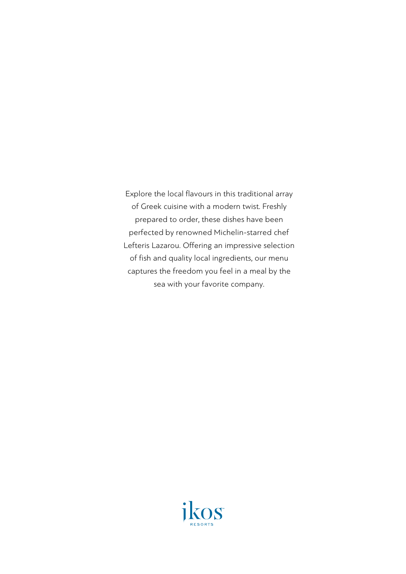Explore the local flavours in this traditional array of Greek cuisine with a modern twist. Freshly prepared to order, these dishes have been perfected by renowned Michelin-starred chef Lefteris Lazarou. Offering an impressive selection of fish and quality local ingredients, our menu captures the freedom you feel in a meal by the sea with your favorite company.

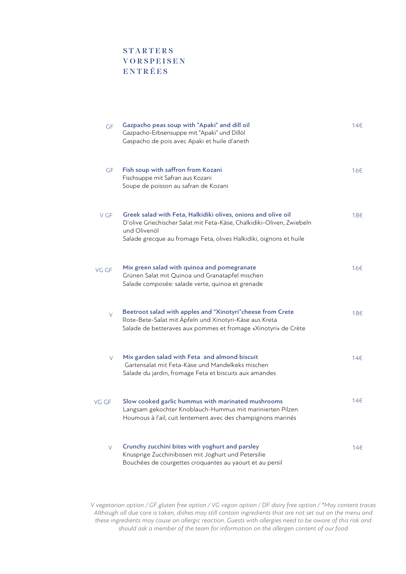## **STARTERS VORSPEISEN** ENTRÉES

| GF     | Gazpacho peas soup with "Apaki" and dill oil<br>Gazpacho-Erbsensuppe mit "Apaki" und Dillöl<br>Gaspacho de pois avec Apaki et huile d'aneth                                                                                  | 14€             |
|--------|------------------------------------------------------------------------------------------------------------------------------------------------------------------------------------------------------------------------------|-----------------|
| GF     | Fish soup with saffron from Kozani<br>Fischsuppe mit Safran aus Kozani<br>Soupe de poisson au safran de Kozani                                                                                                               | 16€             |
| V GF   | Greek salad with Feta, Halkidiki olives, onions and olive oil<br>D'olive Griechischer Salat mit Feta-Käse, Chalkidiki-Oliven, Zwiebeln<br>und Olivenöl<br>Salade grecque au fromage Feta, olives Halkidiki, oignons et huile | 18€             |
| VG GF  | Mix green salad with quinoa and pomegranate<br>Grünen Salat mit Quinoa und Granatapfel mischen<br>Salade composée: salade verte, quinoa et grenade                                                                           | 16€             |
| V      | Beetroot salad with apples and "Xinotyri" cheese from Crete<br>Rote-Bete-Salat mit Äpfeln und Xinotyri-Käse aus Kreta<br>Salade de betteraves aux pommes et fromage «Xinotyri» de Crète                                      | 18€             |
| V      | Mix garden salad with Feta and almond biscuit<br>Gartensalat mit Feta-Käse und Mandelkeks mischen<br>Salade du jardin, fromage Feta et biscuits aux amandes                                                                  | 14 <sup>5</sup> |
| VG GF  | Slow cooked garlic hummus with marinated mushrooms<br>Langsam gekochter Knoblauch-Hummus mit marinierten Pilzen<br>Houmous à l'ail, cuit lentement avec des champignons marinés                                              | 14€             |
| $\vee$ | Crunchy zucchini bites with yoghurt and parsley<br>Knusprige Zucchinibissen mit Joghurt und Petersilie<br>Bouchées de courgettes croquantes au yaourt et au persil                                                           | 14€             |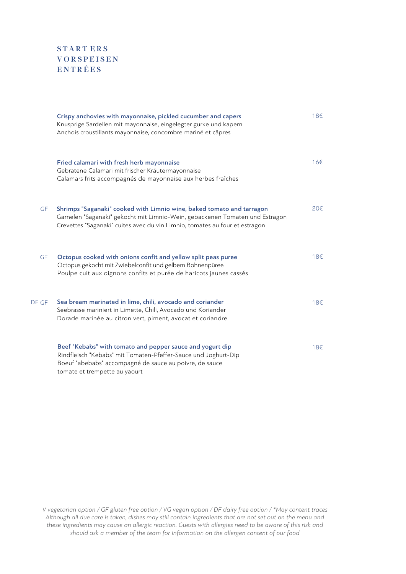## START ERS **VORSPEISEN** ENTRÉES

|           | Crispy anchovies with mayonnaise, pickled cucumber and capers<br>Knusprige Sardellen mit mayonnaise, eingelegter gurke und kapern<br>Anchois croustillants mayonnaise, concombre mariné et câpres                                    | 18€ |
|-----------|--------------------------------------------------------------------------------------------------------------------------------------------------------------------------------------------------------------------------------------|-----|
|           | Fried calamari with fresh herb mayonnaise<br>Gebratene Calamari mit frischer Kräutermayonnaise<br>Calamars frits accompagnés de mayonnaise aux herbes fraîches                                                                       | 16€ |
| GF        | Shrimps "Saganaki" cooked with Limnio wine, baked tomato and tarragon<br>Garnelen "Saganaki" gekocht mit Limnio-Wein, gebackenen Tomaten und Estragon<br>Crevettes "Saganaki" cuites avec du vin Limnio, tomates au four et estragon | 20€ |
| <b>GF</b> | Octopus cooked with onions confit and yellow split peas puree<br>Octopus gekocht mit Zwiebelconfit und gelbem Bohnenpüree<br>Poulpe cuit aux oignons confits et purée de haricots jaunes cassés                                      | 18€ |
| DF GF     | Sea bream marinated in lime, chili, avocado and coriander<br>Seebrasse mariniert in Limette, Chili, Avocado und Koriander<br>Dorade marinée au citron vert, piment, avocat et coriandre                                              | 18€ |
|           | Beef "Kebabs" with tomato and pepper sauce and yogurt dip<br>Rindfleisch "Kebabs" mit Tomaten-Pfeffer-Sauce und Joghurt-Dip<br>Boeuf "abebabs" accompagné de sauce au poivre, de sauce<br>tomate et trempette au yaourt              | 18€ |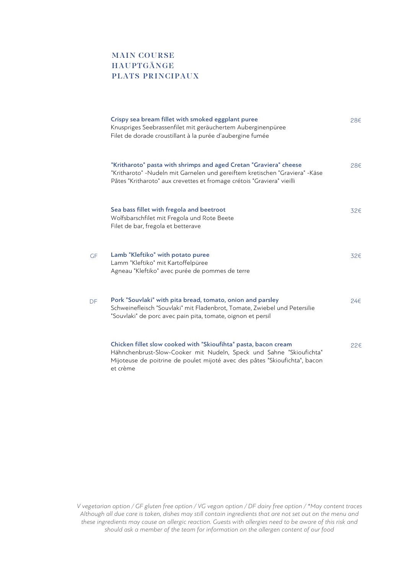### MAIN COURSE HAUPTGÄNGE PLATS PRINCIPAUX

|    | Crispy sea bream fillet with smoked eggplant puree<br>Knuspriges Seebrassenfilet mit geräuchertem Auberginenpüree<br>Filet de dorade croustillant à la purée d'aubergine fumée                                                   | 28€      |
|----|----------------------------------------------------------------------------------------------------------------------------------------------------------------------------------------------------------------------------------|----------|
|    | "Kritharoto" pasta with shrimps and aged Cretan "Graviera" cheese<br>"Kritharoto" -Nudeln mit Garnelen und gereiftem kretischen "Graviera" -Käse<br>Pâtes "Kritharoto" aux crevettes et fromage crétois "Graviera" vieilli       | 28€      |
|    | Sea bass fillet with fregola and beetroot<br>Wolfsbarschfilet mit Fregola und Rote Beete<br>Filet de bar, fregola et betterave                                                                                                   | 32€      |
| GF | Lamb "Kleftiko" with potato puree<br>Lamm "Kleftiko" mit Kartoffelpüree<br>Agneau "Kleftiko" avec purée de pommes de terre                                                                                                       | 32€      |
| DF | Pork "Souvlaki" with pita bread, tomato, onion and parsley<br>Schweinefleisch "Souvlaki" mit Fladenbrot, Tomate, Zwiebel und Petersilie<br>"Souvlaki" de porc avec pain pita, tomate, oignon et persil                           | 246      |
|    | Chicken fillet slow cooked with "Skioufihta" pasta, bacon cream<br>Hähnchenbrust-Slow-Cooker mit Nudeln, Speck und Sahne "Skioufichta"<br>Mijoteuse de poitrine de poulet mijoté avec des pâtes "Skioufichta", bacon<br>et crème | $22 \in$ |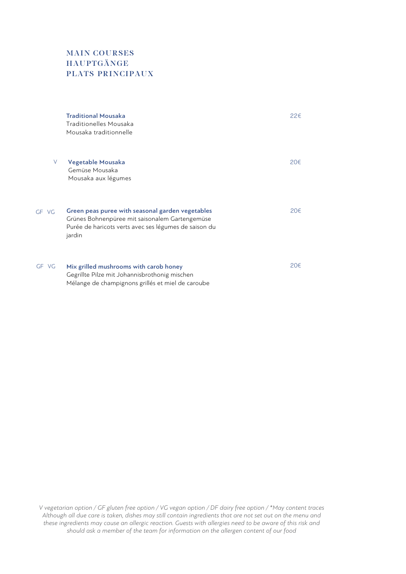# MAIN COURSES HAUPTGÄNGE PLATS PRINCIPAUX

 $GF$ 

 $GF$ 

|    | <b>Traditional Mousaka</b><br>Traditionelles Mousaka<br>Mousaka traditionnelle                                                                                        | 22€ |
|----|-----------------------------------------------------------------------------------------------------------------------------------------------------------------------|-----|
| V  | Vegetable Mousaka<br>Gemüse Mousaka<br>Mousaka aux légumes                                                                                                            | 20€ |
| VG | Green peas puree with seasonal garden vegetables<br>Grünes Bohnenpüree mit saisonalem Gartengemüse<br>Purée de haricots verts avec ses légumes de saison du<br>jardin | 20€ |
| VG | Mix grilled mushrooms with carob honey<br>Gegrillte Pilze mit Johannisbrothonig mischen<br>Mélange de champignons grillés et miel de caroube                          | 20€ |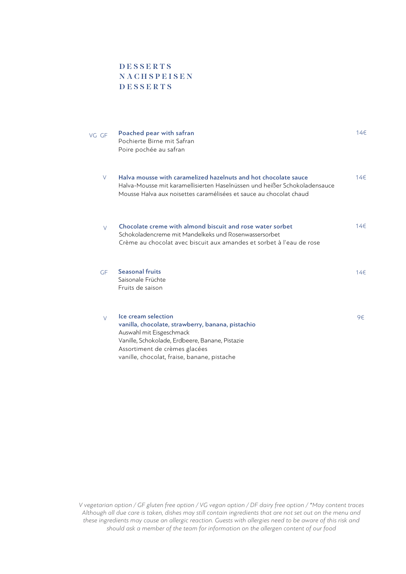#### **DESSERTS NACHSPEISEN** DESSERTS

| VG GF  | Poached pear with safran<br>Pochierte Birne mit Safran<br>Poire pochée au safran                                                                                                                                                        | 14€ |
|--------|-----------------------------------------------------------------------------------------------------------------------------------------------------------------------------------------------------------------------------------------|-----|
| $\vee$ | Halya mousse with caramelized hazelnuts and hot chocolate sauce<br>Halva-Mousse mit karamellisierten Haselnüssen und heißer Schokoladensauce<br>Mousse Halva aux noisettes caramélisées et sauce au chocolat chaud                      | 14€ |
| $\vee$ | Chocolate creme with almond biscuit and rose water sorbet<br>Schokoladencreme mit Mandelkeks und Rosenwassersorbet<br>Crème au chocolat avec biscuit aux amandes et sorbet à l'eau de rose                                              | 14€ |
| GF     | <b>Seasonal fruits</b><br>Saisonale Früchte<br>Fruits de saison                                                                                                                                                                         | 14€ |
| $\vee$ | Ice cream selection<br>vanilla, chocolate, strawberry, banana, pistachio<br>Auswahl mit Eisgeschmack<br>Vanille, Schokolade, Erdbeere, Banane, Pistazie<br>Assortiment de crèmes glacées<br>vanille, chocolat, fraise, banane, pistache | 9€  |